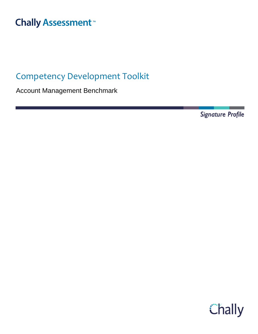# **Chally Assessment**<sup>™</sup>

## Competency Development Toolkit

Account Management Benchmark

Signature Profile

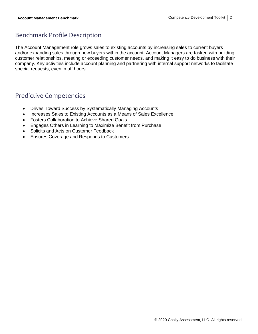### Benchmark Profile Description

The Account Management role grows sales to existing accounts by increasing sales to current buyers and/or expanding sales through new buyers within the account. Account Managers are tasked with building customer relationships, meeting or exceeding customer needs, and making it easy to do business with their company. Key activities include account planning and partnering with internal support networks to facilitate special requests, even in off hours.

### Predictive Competencies

- Drives Toward Success by Systematically Managing Accounts
- Increases Sales to Existing Accounts as a Means of Sales Excellence
- Fosters Collaboration to Achieve Shared Goals
- Engages Others in Learning to Maximize Benefit from Purchase
- Solicits and Acts on Customer Feedback
- Ensures Coverage and Responds to Customers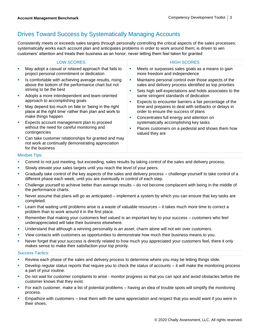### Drives Toward Success by Systematically Managing Accounts

Consistently meets or exceeds sales targets through personally controlling the critical aspects of the sales processes; systematically works each account plan and anticipates problems in order to work around them; is driven to win customers' attention and treats their business as an honor, never letting them feel taken for granted

|    | <b>LOW SCORES</b>                                                                                                                     |                                      | <b>HIGH SCORES</b>                                                                                                                                                         |
|----|---------------------------------------------------------------------------------------------------------------------------------------|--------------------------------------|----------------------------------------------------------------------------------------------------------------------------------------------------------------------------|
|    | May adopt a casual or relaxed approach that fails to<br>project personal commitment or dedication                                     |                                      | Meets or surpasses sales goals as a means to gain<br>more freedom and independence                                                                                         |
| u  | Is comfortable with achieving average results, rising<br>above the bottom of the performance chart but not<br>striving to be the best |                                      | Maintains personal control over those aspects of the<br>sales and delivery process identified as top priorities<br>Sets high self-expectations and holds associates to the |
| I. | Adopts a more interdependent and team-oriented<br>approach to accomplishing goals                                                     |                                      | same stringent standards of dedication<br>Expects to encounter barriers a fair percentage of the                                                                           |
| L. | May depend too much on fate or 'being in the right<br>place at the right time' rather than plan and work to<br>make things happen     | order to ensure the success of plans | time and prepares to deal with setbacks or delays in<br>Concentrates full energy and attention on                                                                          |
| U, | Expects account management plan to proceed<br>without the need for careful monitoring and<br>contingencies                            |                                      | systematically accomplishing key tasks<br>Places customers on a pedestal and shows them how<br>valued they are                                                             |
| ш  | Can take customer relationships for granted and may<br>not work at continually demonstrating appreciation<br>for the business         |                                      |                                                                                                                                                                            |

#### Mindset Tips:

**• Commit to not just meeting, but exceeding, sales results by taking control of the sales and delivery process.** 

- **EXEDENT SIOWLY elevate your sales targets until you reach the level of your peers.**
- Gradually take control of the key aspects of the sales and delivery process challenge yourself to take control of a different phase each week, until you are eventually in control of each step.
- Challenge yourself to achieve better than average results do not become complacent with being in the middle of the performance charts.
- Never assume that plans will go as anticipated implement a system by which you can ensure that key tasks are completed.
- Learn that waiting until problems arise is a waste of valuable resources it takes much more time to correct a problem than to work around it in the first place.
- Remember that making your customers feel valued is an important key to your success customers who feel underappreciated will take their business elsewhere.
- Understand that although a winning personality is an asset, charm alone will not win over customers.
- **•** View contacts with customers as opportunities to demonstrate how much their business means to you.
- Never forget that your success is directly related to how much you appreciated your customers feel, there it only makes sense to make their satisfaction your top priority.

- Review each phase of the sales and delivery process to determine where you may be letting things slide.
- Develop regular status reports that require you to check the status of accounts it will make the monitoring process a part of your routine.
- **•** Do not wait for customer complaints to arise monitor progress so that you can spot and avoid obstacles before the customer knows that they exist.
- For each customer, make a list of potential problems having an idea of trouble spots will simplify the monitoring process.
- Empathize with customers treat them with the same appreciation and respect that you would want if you were in their shoes.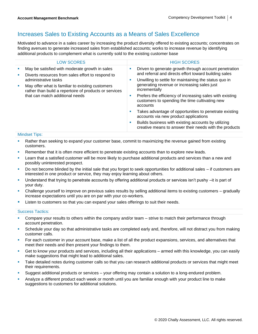### Increases Sales to Existing Accounts as a Means of Sales Excellence

Motivated to advance in a sales career by increasing the product diversity offered to existing accounts; concentrates on finding avenues to generate increased sales from established accounts; works to increase revenue by identifying additional products to complement what is currently sold to the existing customer base

|             | <b>LOW SCORES</b>                                                                                                                                                                                                                                                            | <b>HIGH SCORES</b>                                                                                                                                                                                                                                                                                                                                                                                                                                                                                                                                                                                             |
|-------------|------------------------------------------------------------------------------------------------------------------------------------------------------------------------------------------------------------------------------------------------------------------------------|----------------------------------------------------------------------------------------------------------------------------------------------------------------------------------------------------------------------------------------------------------------------------------------------------------------------------------------------------------------------------------------------------------------------------------------------------------------------------------------------------------------------------------------------------------------------------------------------------------------|
| ш<br>ш<br>× | May be satisfied with moderate growth in sales<br>Diverts resources from sales effort to respond to<br>administrative tasks<br>May offer what is familiar to existing customers<br>rather than build a repertoire of products or services<br>that can match additional needs | Driven to generate growth through account penetration<br>ш<br>and referral and directs effort toward building sales<br>Unwilling to settle for maintaining the status quo in<br>ш<br>generating revenue or increasing sales just<br>incrementally<br>Prefers the efficiency of increasing sales with existing<br>ш<br>customers to spending the time cultivating new<br>accounts<br>Takes advantage of opportunities to penetrate existing<br>ш<br>accounts via new product applications<br>Builds business with existing accounts by utilizing<br>ш<br>creative means to answer their needs with the products |

Mindset Tips:

- **Rather than seeking to expand your customer base, commit to maximizing the revenue gained from existing** customers.
- **EXECTED EXECTED FOR THE INTER THE INTERT FOR THE INTERT FOR THE ISL** PERSONG FIGURE. **FROM** FROM FIGURE 1.1 THE READS.
- Learn that a satisfied customer will be more likely to purchase additional products and services than a new and possibly uninterested prospect.
- Do not become blinded by the initial sale that you forget to seek opportunities for additional sales if customers are interested in one product or service, they may enjoy learning about others.
- Understand that trying to penetrate accounts by offering additional products or services isn't pushy –it is part of your duty.
- Challenge yourself to improve on previous sales results by selling additional items to existing customers gradually increase expectations until you are on par with your co-workers.
- **EXECT** Listen to customers so that you can expand your sales offerings to suit their needs.

- Compare your results to others within the company and/or team strive to match their performance through account penetration.
- Schedule your day so that administrative tasks are completed early and, therefore, will not distract you from making customer calls.
- For each customer in your account base, make a list of all the product expansions, services, and alternatives that meet their needs and then present your findings to them.
- Get to know your products and services, including all their applications armed with this knowledge, you can easily make suggestions that might lead to additional sales.
- Take detailed notes during customer calls so that you can research additional products or services that might meet their requirements.
- Suggest additional products or services your offering may contain a solution to a long-endured problem.
- **•** Analyze a different product each week or month until you are familiar enough with your product line to make suggestions to customers for additional solutions.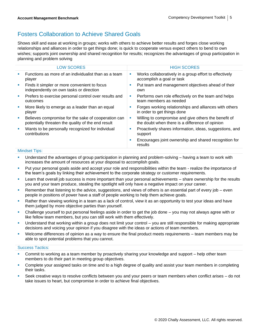### Fosters Collaboration to Achieve Shared Goals

Shows skill and ease at working in groups; works with others to achieve better results and forges close working relationships and alliances in order to get things done; is quick to cooperate versus expect others to bend to own wishes; supports joint ownership and shared recognition for results; recognizes the advantages of group participation in planning and problem solving

|            | <b>LOW SCORES</b>                                                                                         |    | <b>HIGH SCORES</b>                                                                                      |
|------------|-----------------------------------------------------------------------------------------------------------|----|---------------------------------------------------------------------------------------------------------|
| a.         | Functions as more of an individualist than as a team<br>player                                            | L. | Works collaboratively in a group effort to effectively<br>accomplish a goal or task                     |
| ×          | Finds it simpler or more convenient to focus<br>independently on own tasks or direction                   | ш  | Put team and management objectives ahead of their<br>own                                                |
| <b>COL</b> | Prefers to exercise personal control over results and<br>outcomes                                         | ш  | Performs own role effectively on the team and helps<br>team members as needed                           |
|            | More likely to emerge as a leader than an equal<br>player                                                 |    | Forges working relationships and alliances with others<br>in order to get things done                   |
| <b>I</b>   | Believes compromise for the sake of cooperation can<br>potentially threaten the quality of the end result | ×  | Willing to compromise and give others the benefit of<br>the doubt when there is a difference of opinion |
| ٠          | Wants to be personally recognized for individual<br>contributions                                         | п  | Proactively shares information, ideas, suggestions, and<br>support                                      |
|            |                                                                                                           | п  | Encourages joint ownership and shared recognition for<br>results                                        |

#### Mindset Tips:

- **■** Understand the advantages of group participation in planning and problem-solving having a team to work with increases the amount of resources at your disposal to accomplish goals.
- Put your personal goals aside and accept your role and responsibilities within the team realize the importance of the team's goals by linking their achievement to the corporate strategy or customer requirements.
- Learn that overall job success is more important than your personal achievements share ownership for the results you and your team produce, stealing the spotlight will only have a negative impact on your career.
- Remember that listening to the advice, suggestions, and views of others is an essential part of every job even people in positions of power have a staff of people working to help them achieve goals.
- Rather than viewing working in a team as a lack of control, view it as an opportunity to test your ideas and have them judged by more objective parties than yourself.
- Challenge yourself to put personal feelings aside in order to get the job done you may not always agree with or like fellow team members, but you can still work with them effectively.
- Understand that working within a group does not limit your control you are still responsible for making appropriate decisions and voicing your opinion if you disagree with the ideas or actions of team members.
- Welcome differences of opinion as a way to ensure the final product meets requirements team members may be able to spot potential problems that you cannot.

- Commit to working as a team member by proactively sharing your knowledge and support help other team members to do their part in meeting group objectives.
- Complete your assigned tasks on time and to a high degree of quality and assist your team members in completing their tasks.
- Seek creative ways to resolve conflicts between you and your peers or team members when conflict arises do not take issues to heart, but compromise in order to achieve final objectives.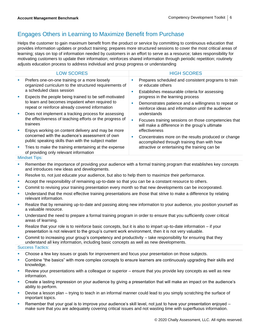### Engages Others in Learning to Maximize Benefit from Purchase

Helps the customer to gain maximum benefit from the product or service by committing to continuous education that provides information updates or product training; prepares more structured sessions to cover the most critical areas of learning; stays on top of information needed by customers in an effort to serve as a resource; takes responsibility for motivating customers to update their information; reinforces shared information through periodic repetition; routinely adjusts education process to address individual and group progress or understanding

|                             | <b>LOW SCORES</b>                                                                                                                                            |         | <b>HIGH SCORES</b>                                                                                                                             |
|-----------------------------|--------------------------------------------------------------------------------------------------------------------------------------------------------------|---------|------------------------------------------------------------------------------------------------------------------------------------------------|
| ш                           | Prefers one-on-one training or a more loosely<br>organized curriculum to the structured requirements of<br>a scheduled class session                         | ш<br>a. | Prepares scheduled and consistent programs to train<br>or educate others<br>Establishes measurable criteria for assessing                      |
|                             | Expects the people being trained to be self-motivated<br>to learn and becomes impatient when required to<br>repeat or reinforce already covered information  | ш       | progress in the learning process<br>Demonstrates patience and a willingness to repeat or<br>reinforce ideas and information until the audience |
|                             | Does not implement a tracking process for assessing<br>the effectiveness of teaching efforts or the progress of<br>trainees                                  | ш       | understands<br>Focuses training sessions on those competencies that<br>will make a difference in the group's ultimate                          |
|                             | Enjoys working on content delivery and may be more<br>concerned with the audience's assessment of own<br>public speaking skills than with the subject matter | ш       | effectiveness<br>Concentrates more on the results produced or change<br>accomplished through training than with how                            |
| $\mathcal{L}_{\mathcal{A}}$ | Tries to make the training entertaining at the expense<br>of providing only relevant information                                                             |         | attractive or entertaining the training can be                                                                                                 |

#### Mindset Tips:

- **Remember the importance of providing your audience with a formal training program that establishes key concepts** and introduces new ideas and developments.
- Resolve to, not just educate your audience, but also to help them to maximize their performance.
- **•** Accept the responsibility of remaining up-to-date so that you can be a constant resource to others.
- **Commit to revising your training presentation every month so that new developments can be incorporated.**
- Understand that the most effective training presentations are those that strive to make a difference by relating relevant information.
- Realize that by remaining up-to-date and passing along new information to your audience, you position yourself as a valuable resource.
- Understand the need to prepare a formal training program in order to ensure that you sufficiently cover critical areas of learning.
- Realize that your role is to reinforce basic concepts, but it is also to impart up-to-date information  $-$  if your presentation is not relevant to the group's current work environment, then it is not very valuable.
- Commit to increasing your group's competency and productivity  $-$  take responsibility for ensuring that they understand all key information, including basic concepts as well as new developments.
- Success Tactics:
- Choose a few key issues or goals for improvement and focus your presentation on those subjects.
- Combine "the basics" with more complex concepts to ensure learners are continuously upgrading their skills and knowledge.
- Review your presentations with a colleague or superior ensure that you provide key concepts as well as new information.
- Create a lasting impression on your audience by giving a presentation that will make an impact on the audience's ability to perform.
- Devise a lesson plan trying to teach in an informal manner could lead to you simply scratching the surface of important topics.
- Remember that your goal is to improve your audience's skill level, not just to have your presentation enjoyed make sure that you are adequately covering critical issues and not wasting time with superfluous information.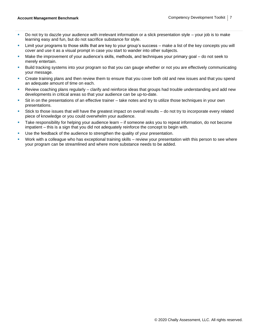- Do not try to dazzle your audience with irrelevant information or a slick presentation style  $-$  your job is to make learning easy and fun, but do not sacrifice substance for style.
- **EXECT** Limit your programs to those skills that are key to your group's success make a list of the key concepts you will cover and use it as a visual prompt in case you start to wander into other subjects.
- Make the improvement of your audience's skills, methods, and techniques your primary goal do not seek to merely entertain.
- **EXECT ADM IN THE SYSTEMS INTO YOUT A** BUT A SUIT A BUT A BUT A SUIT A SUIT A SYSTEM SYSTEM INTO THE SUIT A BUT A SUIT A SUIT A SUIT A SUIT A SUIT A SUIT A SUIT A SUIT A SUIT A SUIT A SUIT A SUIT A SUIT A SUIT A SUIT A SUI your message.
- **•** Create training plans and then review them to ensure that you cover both old and new issues and that you spend an adequate amount of time on each.
- **EXECT** Review coaching plans regularly clarify and reinforce ideas that groups had trouble understanding and add new developments in critical areas so that your audience can be up-to-date.
- Sit in on the presentations of an effective trainer take notes and try to utilize those techniques in your own presentations.
- Stick to those issues that will have the greatest impact on overall results do not try to incorporate every related piece of knowledge or you could overwhelm your audience.
- Take responsibility for helping your audience learn if someone asks you to repeat information, do not become impatient – this is a sign that you did not adequately reinforce the concept to begin with.
- Use the feedback of the audience to strengthen the quality of your presentation.
- Work with a colleague who has exceptional training skills review your presentation with this person to see where your program can be streamlined and where more substance needs to be added.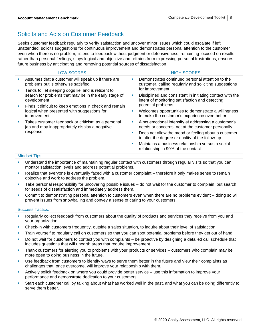### Solicits and Acts on Customer Feedback

Seeks customer feedback regularly to verify satisfaction and uncover minor issues which could escalate if left unattended; solicits suggestions for continuous improvement and demonstrates personal attention to the customer even when there is no problem; listens to feedback without judgment or defensiveness, remaining focused on results rather than personal feelings; stays logical and objective and refrains from expressing personal frustrations; ensures future business by anticipating and removing potential sources of dissatisfaction

| <b>LOW SCORES</b>                                                                                                           |   | <b>HIGH SCORES</b>                                                                                                                 |  |  |  |
|-----------------------------------------------------------------------------------------------------------------------------|---|------------------------------------------------------------------------------------------------------------------------------------|--|--|--|
|                                                                                                                             |   |                                                                                                                                    |  |  |  |
| Assumes that a customer will speak up if there are<br>problems but is otherwise satisfied                                   | ш | Demonstrates continued personal attention to the<br>customer, calling regularly and soliciting suggestions                         |  |  |  |
| Tends to 'let sleeping dogs lie' and is reticent to<br>search for problems that may be in the early stage of<br>development |   | for improvement                                                                                                                    |  |  |  |
|                                                                                                                             | × | Disciplined and consistent in initiating contact with the<br>intent of monitoring satisfaction and detecting<br>potential problems |  |  |  |
| Finds it difficult to keep emotions in check and remain<br>logical when presented with suggestions for<br>improvement       |   |                                                                                                                                    |  |  |  |
|                                                                                                                             | ш | Welcomes opportunities to demonstrate a willingness<br>to make the customer's experience even better                               |  |  |  |
| Takes customer feedback or criticism as a personal<br>jab and may inappropriately display a negative<br>response            | ш | Aims emotional intensity at addressing a customer's<br>needs or concerns, not at the customer personally                           |  |  |  |
|                                                                                                                             | ш | Does not allow the mood or feeling about a customer<br>to alter the degree or quality of the follow-up                             |  |  |  |
|                                                                                                                             | × | Maintains a business relationship versus a social<br>relationship in 90% of the contact                                            |  |  |  |
| Millian almost Times                                                                                                        |   |                                                                                                                                    |  |  |  |

#### Mindset Tips:

- Understand the importance of maintaining regular contact with customers through regular visits so that you can monitor satisfaction levels and address potential problems.
- Realize that everyone is eventually faced with a customer complaint therefore it only makes sense to remain objective and work to address the problem.
- Take personal responsibility for uncovering possible issues do not wait for the customer to complain, but search for seeds of dissatisfaction and immediately address them.
- Commit to demonstrating personal attention to customers even when there are no problems evident doing so will prevent issues from snowballing and convey a sense of caring to your customers.

- Regularly collect feedback from customers about the quality of products and services they receive from you and your organization.
- Check-in with customers frequently, outside a sales situation, to inquire about their level of satisfaction.
- **•** Train yourself to regularly call on customers so that you can spot potential problems before they get out of hand.
- Do not wait for customers to contact you with complaints be proactive by designing a detailed call schedule that includes questions that will unearth areas that require improvement.
- **·** Thank customers for alerting you to problems with your products or services customers who complain may be more open to doing business in the future.
- Use feedback from customers to identify ways to serve them better in the future and view their complaints as challenges that, once overcome, will improve your relationship with them.
- **EXECT** Actively solicit feedback on where you could provide better service use this information to improve your performance and demonstrate dedication to your customers.
- Start each customer call by talking about what has worked well in the past, and what you can be doing differently to serve them better.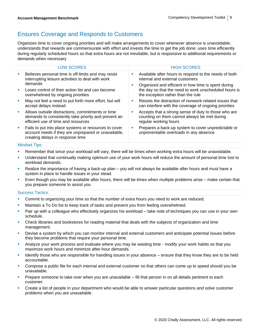### Ensures Coverage and Responds to Customers

Organizes time to cover ongoing priorities and will make arrangements to cover whenever absence is unavoidable; understands that rewards are commensurate with effort and invests the time to get the job done; uses time efficiently during regularly scheduled hours so that extra hours are not inevitable, but is responsive to additional requirements or demands when necessary

|   | <b>LOW SCORES</b>                                                                                                                                 |   | <b>HIGH SCORES</b>                                                                                                                              |
|---|---------------------------------------------------------------------------------------------------------------------------------------------------|---|-------------------------------------------------------------------------------------------------------------------------------------------------|
|   | Believes personal time is off-limits and may resist<br>interrupting leisure activities to deal with work<br>demands                               | × | Available after hours to respond to the needs of both<br>internal and external customers<br>Organized and efficient in how time is spent during |
| × | Loses control of their action list and can become<br>overwhelmed by ongoing priorities                                                            |   | the day so that the need to work unscheduled hours is<br>the exception rather than the rule                                                     |
| × | May not feel a need to put forth more effort, but will<br>accept delays instead                                                                   | ш | Resists the distraction of nonwork-related issues that<br>can interfere with the coverage of ongoing priorities                                 |
| ш | Allows outside distractions, commitments or time<br>demands to consistently take priority and prevent an<br>efficient use of time and resources   |   | Accepts that a strong sense of duty to those who are<br>counting on them cannot always be met during<br>regular working hours                   |
|   | Fails to put into place systems or resources to cover<br>account needs if they are unprepared or unavailable,<br>creating delays in response time |   | Prepares a back-up system to cover unpredictable or<br>unpreventable overloads in any absence                                                   |
|   |                                                                                                                                                   |   |                                                                                                                                                 |

#### Mindset Tips:

- **EXECT** Remember that since your workload will vary, there will be times when working extra hours will be unavoidable.
- Understand that continually making optimum use of your work hours will reduce the amount of personal time lost to workload demands.
- Realize the importance of having a back-up plan you will not always be available after hours and must have a system in place to handle issues in your stead.
- Even though you may be available after hours, there will be times when multiple problems arise make certain that you prepare someone to assist you

- **Commit to organizing your time so that the number of extra hours you need to work are reduced.**
- Maintain a To Do list to keep track of tasks and prevent you from feeling overwhelmed.
- Pair up with a colleague who effectively organizes his workload take note of techniques you can use in your own schedule.
- Check libraries and bookstores for reading material that deals with the subjects of organization and time management.
- Devise a system by which you can monitor internal and external customers and anticipate potential issues before they become problems that require your personal time.
- Analyze your work process and evaluate where you may be wasting time modify your work habits so that you maximize work hours and minimize after-hour demands.
- Identify those who are responsible for handling issues in your absence ensure that they know they are to be held accountable.
- Compose a public file for each internal and external customer so that others can come up to speed should you be unavailable.
- Prepare someone to take over when you are unavailable fill that person in on all details pertinent to each customer.
- Create a list of people in your department who would be able to answer particular questions and solve customer problems when you are unavailable.